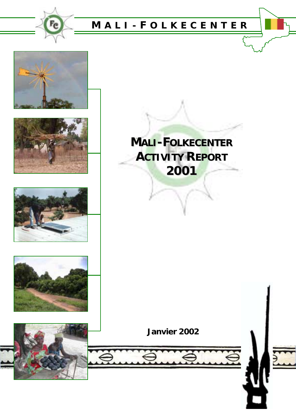











**Janvier 2002**

 $\overline{z}$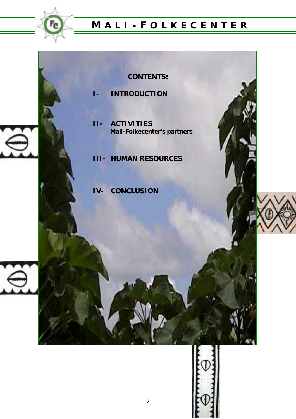

## **CONTENTS:**

- **I- INTRODUCTION**
- **II- ACTIVITIES Mali-Folkecenter's partners**
- **III- HUMAN RESOURCES**
- **IV- CONCLUSION**



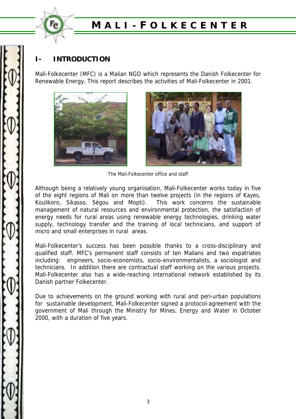

### **I- INTRODUCTION**

Mali-Folkecenter (MFC) is a Malian NGO which represents the Danish Folkecenter for Renewable Energy. This report describes the activities of Mali-Folkecenter in 2001.





The Mali-Folkecenter office and staff

Although being a relatively young organisation, Mali-Folkecenter works today in five of the eight regions of Mali on more than twelve projects (in the regions of Kayes, Koulikoro, Sikasso, Ségou and Mopti). This work concerns the sustainable management of natural resources and environmental protection, the satisfaction of energy needs for rural areas using renewable energy technologies, drinking water supply, technology transfer and the training of local technicians, and support of micro and small enterprises in rural areas.

Mali-Folkecenter's success has been possible thanks to a cross-disciplinary and qualified staff. MFC's permanent staff consists of ten Malians and two expatriates including: engineers, socio-economists, socio-environmentalists, a sociologist and technicians. In addition there are contractual staff working on the various projects. Mali-Folkecenter also has a wide-reaching international network established by its Danish partner Folkecenter.

Due to achievements on the ground working with rural and peri-urban populations for sustainable development, Mali-Folkecenter signed a protocol-agreement with the government of Mali through the Ministry for Mines, Energy and Water in October 2000, with a duration of five years.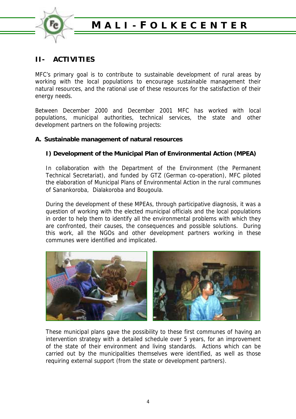

### **II- ACTIVITIES**

MFC's primary goal is to contribute to sustainable development of rural areas by working with the local populations to encourage sustainable management their natural resources, and the rational use of these resources for the satisfaction of their energy needs.

Between December 2000 and December 2001 MFC has worked with local populations, municipal authorities, technical services, the state and other development partners on the following projects:

### **A. Sustainable management of natural resources**

### **I) Development of the Municipal Plan of Environmental Action (MPEA)**

In collaboration with the Department of the Environment (the Permanent Technical Secretariat), and funded by GTZ (German co-operation), MFC piloted the elaboration of Municipal Plans of Environmental Action in the rural communes of Sanankoroba, Dialakoroba and Bougoula.

During the development of these MPEAs, through participative diagnosis, it was a question of working with the elected municipal officials and the local populations in order to help them to identify all the environmental problems with which they are confronted, their causes, the consequences and possible solutions. During this work, all the NGOs and other development partners working in these communes were identified and implicated.



These municipal plans gave the possibility to these first communes of having an intervention strategy with a detailed schedule over 5 years, for an improvement of the state of their environment and living standards. Actions which can be carried out by the municipalities themselves were identified, as well as those requiring external support (from the state or development partners).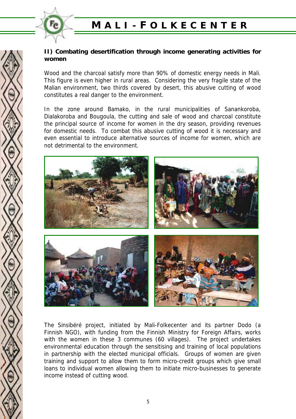

### **II) Combating desertification through income generating activities for women**

Wood and the charcoal satisfy more than 90% of domestic energy needs in Mali. This figure is even higher in rural areas. Considering the very fragile state of the Malian environment, two thirds covered by desert, this abusive cutting of wood constitutes a real danger to the environment.

In the zone around Bamako, in the rural municipalities of Sanankoroba, Dialakoroba and Bougoula, the cutting and sale of wood and charcoal constitute the principal source of income for women in the dry season, providing revenues for domestic needs. To combat this abusive cutting of wood it is necessary and even essential to introduce alternative sources of income for women, which are not detrimental to the environment.



The Sinsibéré project, initiated by Mali-Folkecenter and its partner Dodo (a Finnish NGO), with funding from the Finnish Ministry for Foreign Affairs, works with the women in these 3 communes (60 villages). The project undertakes environmental education through the sensitising and training of local populations in partnership with the elected municipal officials. Groups of women are given training and support to allow them to form micro-credit groups which give small loans to individual women allowing them to initiate micro-businesses to generate income instead of cutting wood.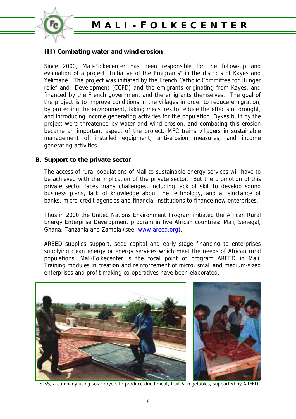

### **III) Combating water and wind erosion**

Since 2000, Mali-Folkecenter has been responsible for the follow-up and evaluation of a project "Initiative of the Emigrants" in the districts of Kayes and Yélimané. The project was initiated by the French Catholic Committee for Hunger relief and Development (CCFD) and the emigrants originating from Kayes, and financed by the French government and the emigrants themselves. The goal of the project is to improve conditions in the villages in order to reduce emigration, by protecting the environment, taking measures to reduce the effects of drought, and introducing income generating activities for the population. Dykes built by the project were threatened by water and wind erosion, and combating this erosion became an important aspect of the project. MFC trains villagers in sustainable management of installed equipment, anti-erosion measures, and income generating activities.

#### **B. Support to the private sector**

The access of rural populations of Mali to sustainable energy services will have to be achieved with the implication of the private sector. But the promotion of this private sector faces many challenges, including lack of skill to develop sound business plans, lack of knowledge about the technology, and a reluctance of banks, micro-credit agencies and financial institutions to finance new enterprises.

Thus in 2000 the United Nations Environment Program initiated the African Rural Energy Enterprise Development program in five African countries: Mali, Senegal, Ghana, Tanzania and Zambia (see www.areed.org).

AREED supplies support, seed capital and early stage financing to enterprises supplying clean energy or energy services which meet the needs of African rural populations. Mali-Folkecenter is the focal point of program AREED in Mali. Training modules in creation and reinforcement of micro, small and medium-sized enterprises and profit making co-operatives have been elaborated.



USISS, a company using solar dryers to produce dried meat, fruit & vegetables, supported by AREED.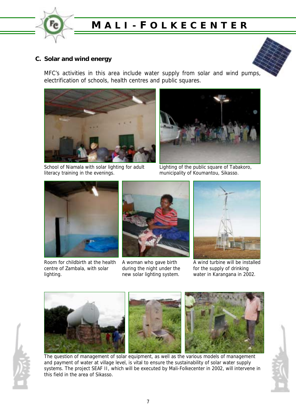

### **C. Solar and wind energy**

MFC's activities in this area include water supply from solar and wind pumps, electrification of schools, health centres and public squares.







Lighting of the public square of Tabakoro, municipality of Koumantou, Sikasso.



Room for childbirth at the health centre of Zambala, with solar lighting.



A woman who gave birth during the night under the new solar lighting system.



A wind turbine will be installed for the supply of drinking water in Karangana in 2002.



The question of management of solar equipment, as well as the various models of management and payment of water at village level, is vital to ensure the sustainability of solar water supply systems. The project SEAF II, which will be executed by Mali-Folkecenter in 2002, will intervene in this field in the area of Sikasso.

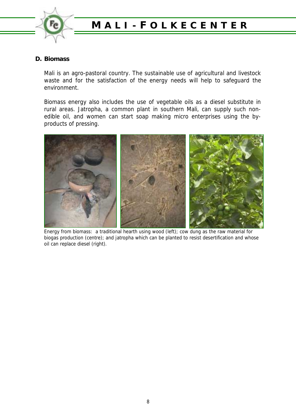

### **D. Biomass**

Mali is an agro-pastoral country. The sustainable use of agricultural and livestock waste and for the satisfaction of the energy needs will help to safeguard the environment.

Biomass energy also includes the use of vegetable oils as a diesel substitute in rural areas. Jatropha, a common plant in southern Mali, can supply such nonedible oil, and women can start soap making micro enterprises using the byproducts of pressing.



Energy from biomass: a traditional hearth using wood (left); cow dung as the raw material for biogas production (centre); and jatropha which can be planted to resist desertification and whose oil can replace diesel (right).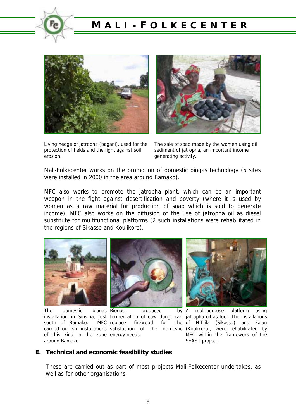



Living hedge of jatropha (bagani), used for the protection of fields and the fight against soil erosion.



The sale of soap made by the women using oil sediment of jatropha, an important income generating activity.

Mali-Folkecenter works on the promotion of domestic biogas technology (6 sites were installed in 2000 in the area around Bamako).

MFC also works to promote the jatropha plant, which can be an important weapon in the fight against desertification and poverty (where it is used by women as a raw material for production of soap which is sold to generate income). MFC also works on the diffusion of the use of jatropha oil as diesel substitute for multifunctional platforms (2 such installations were rehabilitated in the regions of Sikasso and Koulikoro).



The domestic biogas Biogas, south of Bamako. MFC replace of this kind in the zone energy needs. around Bamako



 $produced$  by  $A$ firewood for



installation in Sinsina, just fermentation of cow dung, can jatropha oil as fuel. The installations carried out six installations satisfaction of the domestic (Koulikoro), were rehabilitated by multipurpose platform using the of N'Tjila (Sikasso) and Falan MFC within the framework of the SEAF I project.

#### **E. Technical and economic feasibility studies**

These are carried out as part of most projects Mali-Folkecenter undertakes, as well as for other organisations.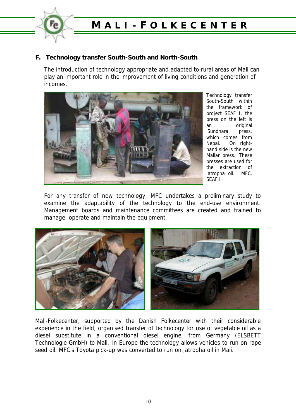

### **F. Technology transfer South-South and North-South**

The introduction of technology appropriate and adapted to rural areas of Mali can play an important role in the improvement of living conditions and generation of incomes.



Technology transfer South-South within the framework of project SEAF I, the press on the left is an original 'Sundhara' press, which comes from Nepal. On righthand side is the new Malian press. These presses are used for the extraction of jatropha oil. MFC, SEAF I

For any transfer of new technology, MFC undertakes a preliminary study to examine the adaptability of the technology to the end-use environment. Management boards and maintenance committees are created and trained to manage, operate and maintain the equipment.



Mali-Folkecenter, supported by the Danish Folkecenter with their considerable experience in the field, organised transfer of technology for use of vegetable oil as a diesel substitute in a conventional diesel engine, from Germany (ELSBETT Technologie GmbH) to Mali. In Europe the technology allows vehicles to run on rape seed oil. MFC's Toyota pick-up was converted to run on jatropha oil in Mali.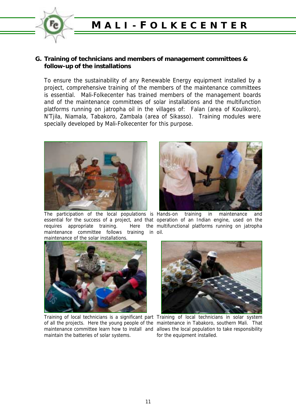

#### **G. Training of technicians and members of management committees & follow-up of the installations**

To ensure the sustainability of any Renewable Energy equipment installed by a project, comprehensive training of the members of the maintenance committees is essential. Mali-Folkecenter has trained members of the management boards and of the maintenance committees of solar installations and the multifunction platforms running on jatropha oil in the villages of: Falan (area of Koulikoro), N'Tjila, Niamala, Tabakoro, Zambala (area of Sikasso). Training modules were specially developed by Mali-Folkecenter for this purpose.



The participation of the local populations is Hands-on training in maintenance and essential for the success of a project, and that operation of an Indian engine, used on the requires appropriate training. maintenance committee follows training in oil. maintenance of the solar installations.



Training of local technicians is a significant part Training of local technicians in solar system of all the projects. Here the young people of the maintenance in Tabakoro, southern Mali. That maintenance committee learn how to install and allows the local population to take responsibility maintain the batteries of solar systems.



Here the multifunctional platforms running on jatropha



for the equipment installed.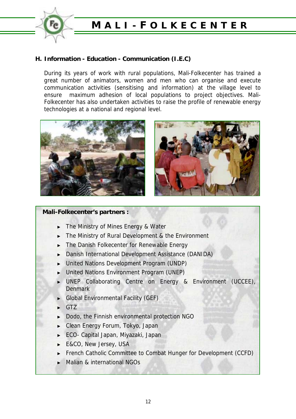

### **H. Information - Education - Communication (I.E.C)**

During its years of work with rural populations, Mali-Folkecenter has trained a great number of animators, women and men who can organise and execute communication activities (sensitising and information) at the village level to ensure maximum adhesion of local populations to project objectives. Mali-Folkecenter has also undertaken activities to raise the profile of renewable energy technologies at a national and regional level.





#### **Mali-Folkecenter's partners :**

- The Ministry of Mines Energy & Water
- The Ministry of Rural Development & the Environment
- ► The Danish Folkecenter for Renewable Energy
- Danish International Development Assistance (DANIDA)
- ► United Nations Development Program (UNDP)
- ► United Nations Environment Program (UNEP)
- UNEP Collaborating Centre on Energy & Environment (UCCEE), **Denmark**
- ► Global Environmental Facility (GEF)
- ► GTZ
- ► Dodo, the Finnish environmental protection NGO
- ► Clean Energy Forum, Tokyo, Japan
- ► ECO- Capital Japan, Miyazaki, Japan
- E&CO, New Jersey, USA
- French Catholic Committee to Combat Hunger for Development (CCFD)
- Malian & international NGOs